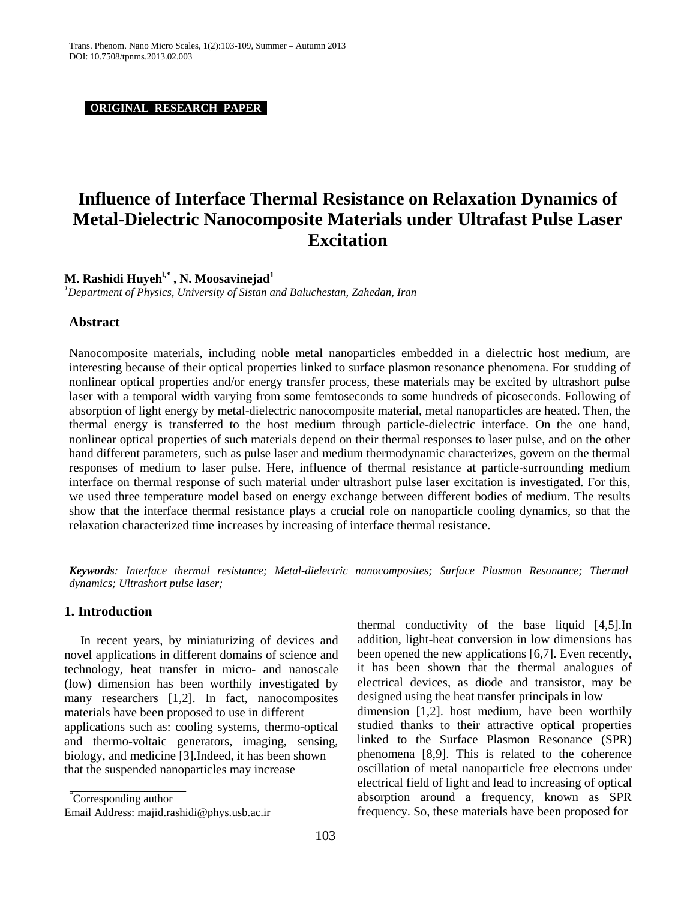**ORIGINAL RESEARCH PAPER .**

# **Influence of Interface Thermal Resistance on Relaxation Dynamics of Metal-Dielectric Nanocomposite Materials under Ultrafast Pulse Laser Excitation**

## **M. Rashidi Huyehl,\* , N. Moosavinejad1**

*1 Department of Physics, University of Sistan and Baluchestan, Zahedan, Iran*

#### **Abstract**

Nanocomposite materials, including noble metal nanoparticles embedded in a dielectric host medium, are interesting because of their optical properties linked to surface plasmon resonance phenomena. For studding of nonlinear optical properties and/or energy transfer process, these materials may be excited by ultrashort pulse laser with a temporal width varying from some femtoseconds to some hundreds of picoseconds. Following of absorption of light energy by metal-dielectric nanocomposite material, metal nanoparticles are heated. Then, the thermal energy is transferred to the host medium through particle-dielectric interface. On the one hand, nonlinear optical properties of such materials depend on their thermal responses to laser pulse, and on the other hand different parameters, such as pulse laser and medium thermodynamic characterizes, govern on the thermal responses of medium to laser pulse. Here, influence of thermal resistance at particle-surrounding medium interface on thermal response of such material under ultrashort pulse laser excitation is investigated. For this, we used three temperature model based on energy exchange between different bodies of medium. The results show that the interface thermal resistance plays a crucial role on nanoparticle cooling dynamics, so that the relaxation characterized time increases by increasing of interface thermal resistance.

*Keywords: Interface thermal resistance; Metal-dielectric nanocomposites; Surface Plasmon Resonance; Thermal dynamics; Ultrashort pulse laser;* 

### **1. Introduction**

In recent years, by miniaturizing of devices and novel applications in different domains of science and technology, heat transfer in micro- and nanoscale (low) dimension has been worthily investigated by many researchers [1,2]. In fact, nanocomposites materials have been proposed to use in different applications such as: cooling systems, thermo-optical and thermo-voltaic generators, imaging, sensing, biology, and medicine [3].Indeed, it has been shown that the suspended nanoparticles may increase

\* Corresponding author

Email Address: [majid.rashidi@phys.usb.ac.ir](mailto:majid.rashidi@phys.usb.ac.ir)

thermal conductivity of the base liquid [4,5].In addition, light-heat conversion in low dimensions has been opened the new applications [6,7]. Even recently, it has been shown that the thermal analogues of electrical devices, as diode and transistor, may be designed using the heat transfer principals in low dimension [1,2]. host medium, have been worthily studied thanks to their attractive optical properties linked to the Surface Plasmon Resonance (SPR) phenomena [8,9]. This is related to the coherence oscillation of metal nanoparticle free electrons under electrical field of light and lead to increasing of optical absorption around a frequency, known as SPR frequency. So, these materials have been proposed for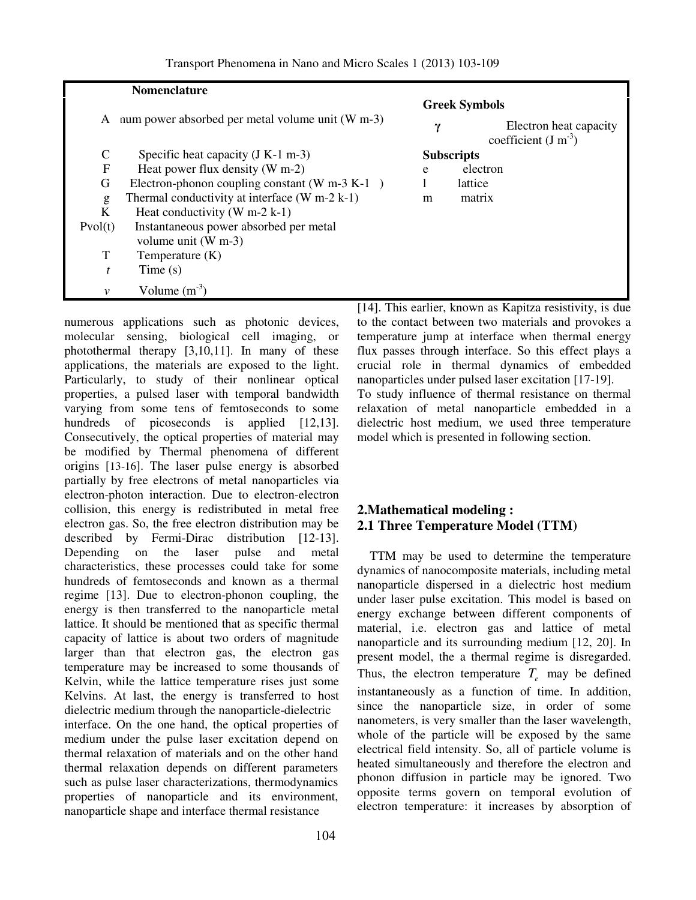|              | <b>Nomenclature</b>                              |                                               |                                                |
|--------------|--------------------------------------------------|-----------------------------------------------|------------------------------------------------|
| A            | num power absorbed per metal volume unit (W m-3) | γ                                             | <b>Greek Symbols</b><br>Electron heat capacity |
| C            | Specific heat capacity $(J K-1 m-3)$             | coefficient $(J m^{-3})$<br><b>Subscripts</b> |                                                |
| $\mathbf{F}$ | Heat power flux density $(W m-2)$                | e                                             | electron                                       |
| G            | Electron-phonon coupling constant (W m-3 K-1)    |                                               | lattice                                        |
| g            | Thermal conductivity at interface $(W m-2 k-1)$  | m                                             | matrix                                         |
| K            | Heat conductivity $(W m-2 k-1)$                  |                                               |                                                |
| Pvol(t)      | Instantaneous power absorbed per metal           |                                               |                                                |
|              | volume unit $(W m-3)$                            |                                               |                                                |
| T            | Temperature (K)                                  |                                               |                                                |
| t            | Time(s)                                          |                                               |                                                |
| v            | Volume $(m^{-3})$                                |                                               |                                                |

numerous applications such as photonic devices, molecular sensing, biological cell imaging, or photothermal therapy [3,10,11]. In many of these applications, the materials are exposed to the light. Particularly, to study of their nonlinear optical properties, a pulsed laser with temporal bandwidth varying from some tens of femtoseconds to some hundreds of picoseconds is applied [12,13]. Consecutively, the optical properties of material may be modified by Thermal phenomena of different origins [13-16]. The laser pulse energy is absorbed partially by free electrons of metal nanoparticles via electron-photon interaction. Due to electron-electron collision, this energy is redistributed in metal free electron gas. So, the free electron distribution may be described by Fermi-Dirac distribution [12-13]. Depending on the laser pulse and metal characteristics, these processes could take for some hundreds of femtoseconds and known as a thermal regime [13]. Due to electron-phonon coupling, the energy is then transferred to the nanoparticle metal lattice. It should be mentioned that as specific thermal capacity of lattice is about two orders of magnitude larger than that electron gas, the electron gas temperature may be increased to some thousands of Kelvin, while the lattice temperature rises just some Kelvins. At last, the energy is transferred to host dielectric medium through the nanoparticle-dielectric interface. On the one hand, the optical properties of medium under the pulse laser excitation depend on thermal relaxation of materials and on the other hand thermal relaxation depends on different parameters such as pulse laser characterizations, thermodynamics properties of nanoparticle and its environment, nanoparticle shape and interface thermal resistance

[14]. This earlier, known as Kapitza resistivity, is due to the contact between two materials and provokes a temperature jump at interface when thermal energy flux passes through interface. So this effect plays a crucial role in thermal dynamics of embedded nanoparticles under pulsed laser excitation [17-19]. To study influence of thermal resistance on thermal relaxation of metal nanoparticle embedded in a dielectric host medium, we used three temperature model which is presented in following section.

## **2.Mathematical modeling : 2.1 Three Temperature Model (TTM)**

 TTM may be used to determine the temperature dynamics of nanocomposite materials, including metal nanoparticle dispersed in a dielectric host medium under laser pulse excitation. This model is based on energy exchange between different components of material, i.e. electron gas and lattice of metal nanoparticle and its surrounding medium [12, 20]. In present model, the a thermal regime is disregarded. Thus, the electron temperature  $T_e$  may be defined instantaneously as a function of time. In addition, since the nanoparticle size, in order of some nanometers, is very smaller than the laser wavelength, whole of the particle will be exposed by the same electrical field intensity. So, all of particle volume is heated simultaneously and therefore the electron and phonon diffusion in particle may be ignored. Two opposite terms govern on temporal evolution of electron temperature: it increases by absorption of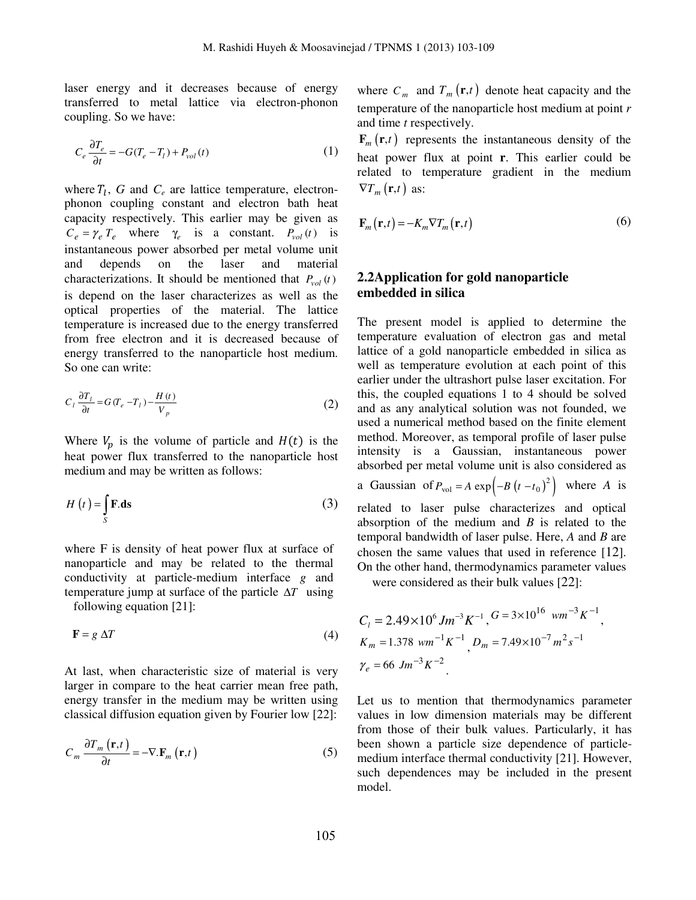laser energy and it decreases because of energy transferred to metal lattice via electron-phonon coupling. So we have:

$$
C_e \frac{\partial T_e}{\partial t} = -G(T_e - T_l) + P_{vol}(t)
$$
 (1)

where  $T_l$ ,  $G$  and  $C_e$  are lattice temperature, electronphonon coupling constant and electron bath heat capacity respectively. This earlier may be given as  $C_e = \gamma_e T_e$  where  $\gamma_e$  is a constant.  $P_{vol}(t)$  is instantaneous power absorbed per metal volume unit and depends on the laser and material characterizations. It should be mentioned that  $P_{vol}(t)$ is depend on the laser characterizes as well as the optical properties of the material. The lattice temperature is increased due to the energy transferred from free electron and it is decreased because of energy transferred to the nanoparticle host medium. So one can write:

$$
C_l \frac{\partial T_l}{\partial t} = G(T_e - T_l) - \frac{H(t)}{V_p}
$$
 (2)

Where  $V_p$  is the volume of particle and  $H(t)$  is the heat power flux transferred to the nanoparticle host medium and may be written as follows:

$$
H(t) = \int_{S} \mathbf{F} \cdot \mathbf{ds}
$$
 (3)

where F is density of heat power flux at surface of nanoparticle and may be related to the thermal conductivity at particle-medium interface *g* and temperature jump at surface of the particle ∆*T* using following equation [21]:

$$
\mathbf{F} = g \Delta T \tag{4}
$$

At last, when characteristic size of material is very larger in compare to the heat carrier mean free path, energy transfer in the medium may be written using classical diffusion equation given by Fourier low [22]:

$$
C_m \frac{\partial T_m(\mathbf{r},t)}{\partial t} = -\nabla \cdot \mathbf{F}_m(\mathbf{r},t)
$$
 (5)

where  $C_m$  and  $T_m(\mathbf{r},t)$  denote heat capacity and the temperature of the nanoparticle host medium at point *r* and time *t* respectively.

 $\mathbf{F}_m(\mathbf{r},t)$  represents the instantaneous density of the heat power flux at point **r**. This earlier could be related to temperature gradient in the medium  $\nabla T_m(\mathbf{r},t)$  as:

$$
\mathbf{F}_{m}(\mathbf{r},t) = -K_{m} \nabla T_{m}(\mathbf{r},t)
$$
\n(6)

## **2.2Application for gold nanoparticle embedded in silica**

The present model is applied to determine the temperature evaluation of electron gas and metal lattice of a gold nanoparticle embedded in silica as well as temperature evolution at each point of this earlier under the ultrashort pulse laser excitation. For this, the coupled equations 1 to 4 should be solved and as any analytical solution was not founded, we used a numerical method based on the finite element method. Moreover, as temporal profile of laser pulse intensity is a Gaussian, instantaneous power absorbed per metal volume unit is also considered as a Gaussian of  $P_{\text{vol}} = A \exp \left( -B (t - t_0)^2 \right)$  where *A* is related to laser pulse characterizes and optical absorption of the medium and *B* is related to the

temporal bandwidth of laser pulse. Here, *A* and *B* are chosen the same values that used in reference [12]. On the other hand, thermodynamics parameter values

were considered as their bulk values [22]:

$$
C_1 = 2.49 \times 10^6 J m^{-3} K^{-1}, G = 3 \times 10^{16} W m^{-3} K^{-1},
$$
  
\n
$$
K_m = 1.378 W m^{-1} K^{-1}, D_m = 7.49 \times 10^{-7} m^2 s^{-1}
$$
  
\n
$$
\gamma_e = 66 J m^{-3} K^{-2}.
$$

Let us to mention that thermodynamics parameter values in low dimension materials may be different from those of their bulk values. Particularly, it has been shown a particle size dependence of particlemedium interface thermal conductivity [21]. However, such dependences may be included in the present model.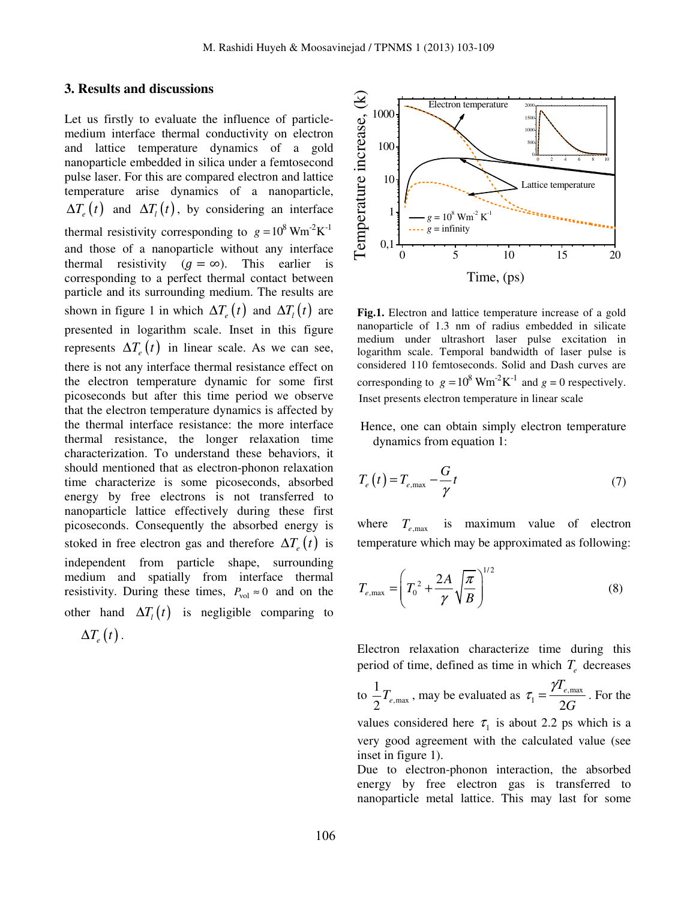#### **3. Results and discussions**

Let us firstly to evaluate the influence of particlemedium interface thermal conductivity on electron and lattice temperature dynamics of a gold nanoparticle embedded in silica under a femtosecond pulse laser. For this are compared electron and lattice temperature arise dynamics of a nanoparticle,  $\Delta T_e(t)$  and  $\Delta T_i(t)$ , by considering an interface thermal resistivity corresponding to  $g = 10^8$  Wm<sup>-2</sup>K<sup>-1</sup> and those of a nanoparticle without any interface thermal resistivity  $(g = \infty)$ . This earlier is corresponding to a perfect thermal contact between particle and its surrounding medium. The results are shown in figure 1 in which  $\Delta T_e(t)$  and  $\Delta T_i(t)$  are presented in logarithm scale. Inset in this figure represents  $\Delta T_e(t)$  in linear scale. As we can see, there is not any interface thermal resistance effect on the electron temperature dynamic for some first picoseconds but after this time period we observe that the electron temperature dynamics is affected by the thermal interface resistance: the more interface thermal resistance, the longer relaxation time characterization. To understand these behaviors, it should mentioned that as electron-phonon relaxation time characterize is some picoseconds, absorbed energy by free electrons is not transferred to nanoparticle lattice effectively during these first picoseconds. Consequently the absorbed energy is stoked in free electron gas and therefore  $\Delta T_e(t)$  is independent from particle shape, surrounding medium and spatially from interface thermal resistivity. During these times,  $P_{\text{vol}} \approx 0$  and on the other hand  $\Delta T_i(t)$  is negligible comparing to  $\Delta T_e(t)$  .



**Fig.1.** Electron and lattice temperature increase of a gold nanoparticle of 1.3 nm of radius embedded in silicate medium under ultrashort laser pulse excitation in logarithm scale. Temporal bandwidth of laser pulse is considered 110 femtoseconds. Solid and Dash curves are corresponding to  $g = 10^8$  Wm<sup>-2</sup>K<sup>-1</sup> and  $g = 0$  respectively. Inset presents electron temperature in linear scale

 Hence, one can obtain simply electron temperature dynamics from equation 1:

$$
T_e(t) = T_{e,\text{max}} - \frac{G}{\gamma}t
$$
\n(7)

where  $T_{e,\text{max}}$  is maximum value of electron temperature which may be approximated as following:

$$
T_{e,\max} = \left(T_0^2 + \frac{2A}{\gamma} \sqrt{\frac{\pi}{B}}\right)^{1/2}
$$
 (8)

Electron relaxation characterize time during this period of time, defined as time in which  $T_e$  decreases

to  $\frac{1}{2}T_{e,\text{max}}$ 1  $\frac{1}{2}T_{e,\text{max}}$ , may be evaluated as  $\tau_1 = \frac{I_{e,\text{max}}}{2G}$ *Te G*  $\tau_1 = \frac{\gamma T_{e,\text{max}}}{2.5}$ . For the values considered here  $\tau_1$  is about 2.2 ps which is a very good agreement with the calculated value (see inset in figure 1).

Due to electron-phonon interaction, the absorbed energy by free electron gas is transferred to nanoparticle metal lattice. This may last for some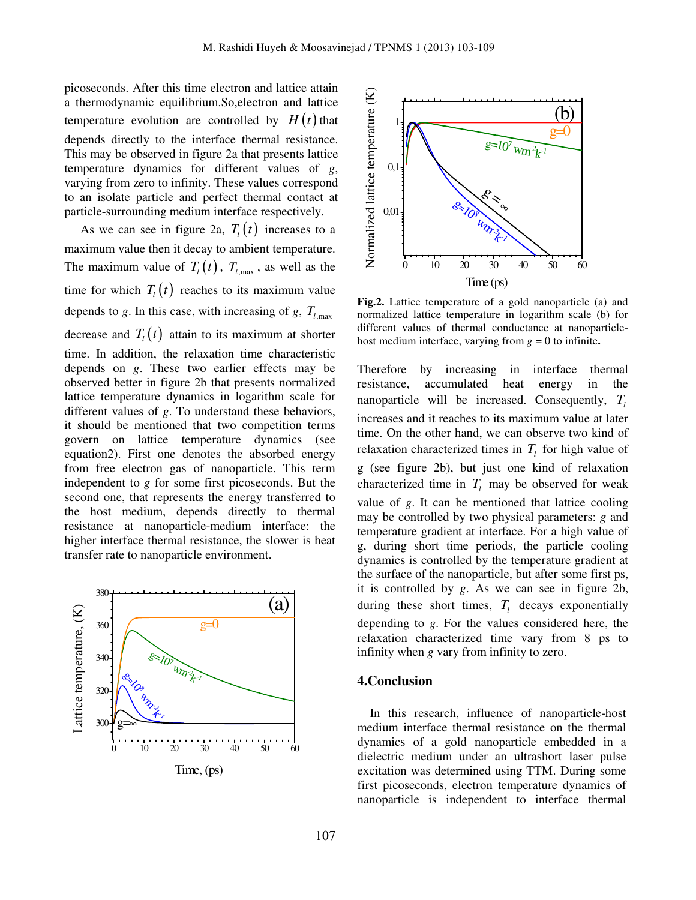picoseconds. After this time electron and lattice attain a thermodynamic equilibrium.So,electron and lattice temperature evolution are controlled by  $H(t)$  that depends directly to the interface thermal resistance. This may be observed in figure 2a that presents lattice temperature dynamics for different values of *g*, varying from zero to infinity. These values correspond to an isolate particle and perfect thermal contact at particle-surrounding medium interface respectively.

As we can see in figure 2a,  $T_l(t)$  increases to a maximum value then it decay to ambient temperature. The maximum value of  $T_l(t)$ ,  $T_{l,\text{max}}$ , as well as the time for which  $T_l(t)$  reaches to its maximum value depends to *g*. In this case, with increasing of *g*,  $T_{l,\text{max}}$ decrease and  $T_l(t)$  attain to its maximum at shorter time. In addition, the relaxation time characteristic depends on *g*. These two earlier effects may be observed better in figure 2b that presents normalized lattice temperature dynamics in logarithm scale for different values of *g*. To understand these behaviors, it should be mentioned that two competition terms govern on lattice temperature dynamics (see equation2). First one denotes the absorbed energy from free electron gas of nanoparticle. This term independent to *g* for some first picoseconds. But the second one, that represents the energy transferred to the host medium, depends directly to thermal resistance at nanoparticle-medium interface: the higher interface thermal resistance, the slower is heat transfer rate to nanoparticle environment.



Time, (ps)



**Fig.2.** Lattice temperature of a gold nanoparticle (a) and normalized lattice temperature in logarithm scale (b) for different values of thermal conductance at nanoparticlehost medium interface, varying from  $g = 0$  to infinite.

Therefore by increasing in interface thermal resistance, accumulated heat energy in the nanoparticle will be increased. Consequently, *T<sup>l</sup>* increases and it reaches to its maximum value at later time. On the other hand, we can observe two kind of relaxation characterized times in  $T_l$  for high value of g (see figure 2b), but just one kind of relaxation characterized time in  $T_l$  may be observed for weak value of *g*. It can be mentioned that lattice cooling may be controlled by two physical parameters: *g* and temperature gradient at interface. For a high value of g, during short time periods, the particle cooling dynamics is controlled by the temperature gradient at the surface of the nanoparticle, but after some first ps, it is controlled by *g*. As we can see in figure 2b, during these short times,  $T_l$  decays exponentially depending to *g*. For the values considered here, the relaxation characterized time vary from 8 ps to infinity when *g* vary from infinity to zero.

#### **4.Conclusion**

 In this research, influence of nanoparticle-host medium interface thermal resistance on the thermal dynamics of a gold nanoparticle embedded in a dielectric medium under an ultrashort laser pulse excitation was determined using TTM. During some first picoseconds, electron temperature dynamics of nanoparticle is independent to interface thermal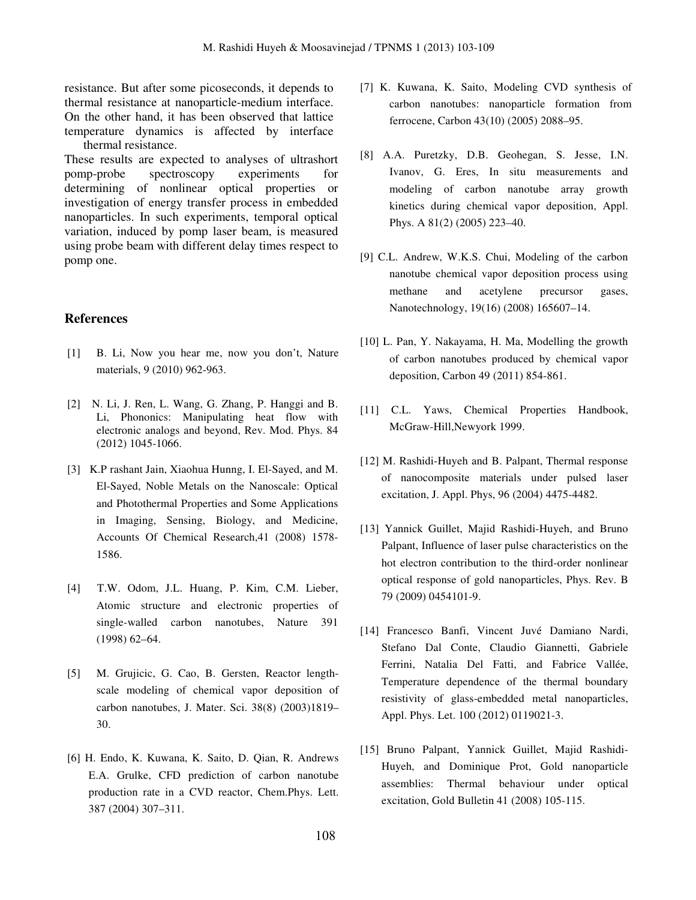resistance. But after some picoseconds, it depends to thermal resistance at nanoparticle-medium interface. On the other hand, it has been observed that lattice temperature dynamics is affected by interface thermal resistance.

These results are expected to analyses of ultrashort pomp-probe spectroscopy experiments for determining of nonlinear optical properties or investigation of energy transfer process in embedded nanoparticles. In such experiments, temporal optical variation, induced by pomp laser beam, is measured using probe beam with different delay times respect to pomp one.

### **References**

- [1] B. Li, Now you hear me, now you don't, Nature materials, 9 (2010) 962-963.
- [2] N. Li, J. Ren, L. Wang, G. Zhang, P. Hanggi and B. Li, Phononics: Manipulating heat flow with electronic analogs and beyond, Rev. Mod. Phys. 84 (2012) 1045-1066.
- [3] K.P rashant Jain, Xiaohua Hunng, I. El-Sayed, and M. El-Sayed, Noble Metals on the Nanoscale: Optical and Photothermal Properties and Some Applications in Imaging, Sensing, Biology, and Medicine, Accounts Of Chemical Research,41 (2008) 1578- 1586.
- [4] T.W. Odom, J.L. Huang, P. Kim, C.M. Lieber, Atomic structure and electronic properties of single-walled carbon nanotubes, Nature 391 (1998) 62–64.
- [5] M. Grujicic, G. Cao, B. Gersten, Reactor lengthscale modeling of chemical vapor deposition of carbon nanotubes, J. Mater. Sci. 38(8) (2003)1819– 30.
- [6] H. Endo, K. Kuwana, K. Saito, D. Qian, R. Andrews E.A. Grulke, CFD prediction of carbon nanotube production rate in a CVD reactor, Chem.Phys. Lett. 387 (2004) 307–311.
- [7] K. Kuwana, K. Saito, Modeling CVD synthesis of carbon nanotubes: nanoparticle formation from ferrocene, Carbon 43(10) (2005) 2088–95.
- [8] A.A. Puretzky, D.B. Geohegan, S. Jesse, I.N. Ivanov, G. Eres, In situ measurements and modeling of carbon nanotube array growth kinetics during chemical vapor deposition, Appl. Phys. A 81(2) (2005) 223–40.
- [9] C.L. Andrew, W.K.S. Chui, Modeling of the carbon nanotube chemical vapor deposition process using methane and acetylene precursor gases, Nanotechnology, 19(16) (2008) 165607–14.
- [10] L. Pan, Y. Nakayama, H. Ma, Modelling the growth of carbon nanotubes produced by chemical vapor deposition, Carbon 49 (2011) 854-861.
- [11] C.L. Yaws, Chemical Properties Handbook, McGraw-Hill,Newyork 1999.
- [12] M. Rashidi-Huyeh and B. Palpant, Thermal response of nanocomposite materials under pulsed laser excitation, J. Appl. Phys, 96 (2004) 4475-4482.
- [13] Yannick Guillet, Majid Rashidi-Huyeh, and Bruno Palpant, Influence of laser pulse characteristics on the hot electron contribution to the third-order nonlinear optical response of gold nanoparticles, Phys. Rev. B 79 (2009) 0454101-9.
- [14] Francesco Banfi, Vincent Juvé Damiano Nardi, Stefano Dal Conte, Claudio Giannetti, Gabriele Ferrini, Natalia Del Fatti, and Fabrice Vallée, Temperature dependence of the thermal boundary resistivity of glass-embedded metal nanoparticles, Appl. Phys. Let. 100 (2012) 0119021-3.
- [15] Bruno Palpant, Yannick Guillet, Majid Rashidi-Huyeh, and Dominique Prot, Gold nanoparticle assemblies: Thermal behaviour under optical excitation, Gold Bulletin 41 (2008) 105-115.